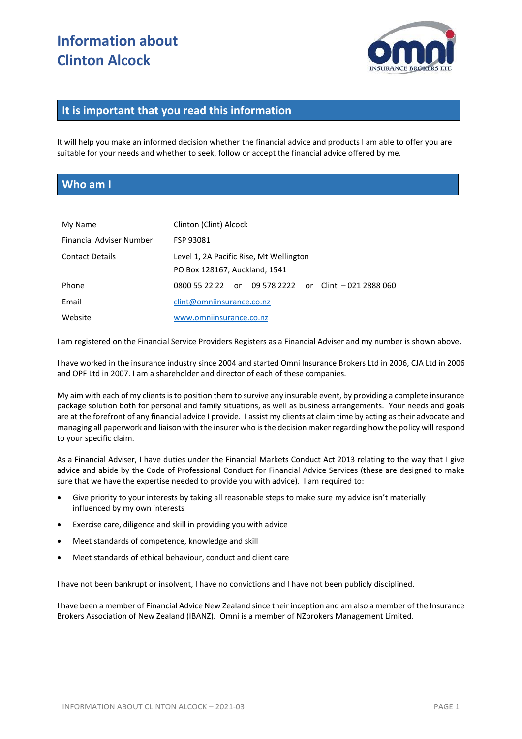# **Information about Clinton Alcock**



#### **It is important that you read this information**

It will help you make an informed decision whether the financial advice and products I am able to offer you are suitable for your needs and whether to seek, follow or accept the financial advice offered by me.

#### **Who am I**

| My Name                  | Clinton (Clint) Alcock                                                   |  |  |  |                                                      |
|--------------------------|--------------------------------------------------------------------------|--|--|--|------------------------------------------------------|
| Financial Adviser Number | FSP 93081                                                                |  |  |  |                                                      |
| <b>Contact Details</b>   | Level 1, 2A Pacific Rise, Mt Wellington<br>PO Box 128167, Auckland, 1541 |  |  |  |                                                      |
| Phone                    |                                                                          |  |  |  | 0800 55 22 22 or 09 578 2222 or Clint - 021 2888 060 |
| Email                    | clint@omniinsurance.co.nz                                                |  |  |  |                                                      |
| Website                  | www.omniinsurance.co.nz                                                  |  |  |  |                                                      |

I am registered on the Financial Service Providers Registers as a Financial Adviser and my number is shown above.

I have worked in the insurance industry since 2004 and started Omni Insurance Brokers Ltd in 2006, CJA Ltd in 2006 and OPF Ltd in 2007. I am a shareholder and director of each of these companies.

My aim with each of my clients is to position them to survive any insurable event, by providing a complete insurance package solution both for personal and family situations, as well as business arrangements. Your needs and goals are at the forefront of any financial advice I provide. I assist my clients at claim time by acting as their advocate and managing all paperwork and liaison with the insurer who is the decision maker regarding how the policy will respond to your specific claim.

As a Financial Adviser, I have duties under the Financial Markets Conduct Act 2013 relating to the way that I give advice and abide by the Code of Professional Conduct for Financial Advice Services (these are designed to make sure that we have the expertise needed to provide you with advice). I am required to:

- Give priority to your interests by taking all reasonable steps to make sure my advice isn't materially influenced by my own interests
- Exercise care, diligence and skill in providing you with advice
- Meet standards of competence, knowledge and skill
- Meet standards of ethical behaviour, conduct and client care

I have not been bankrupt or insolvent, I have no convictions and I have not been publicly disciplined.

I have been a member of Financial Advice New Zealand since their inception and am also a member of the Insurance Brokers Association of New Zealand (IBANZ). Omni is a member of NZbrokers Management Limited.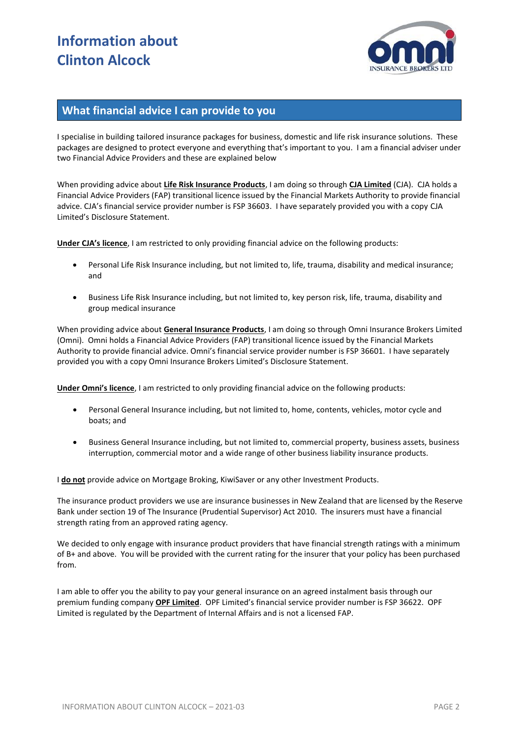# **Information about Clinton Alcock**



### **What financial advice I can provide to you**

I specialise in building tailored insurance packages for business, domestic and life risk insurance solutions. These packages are designed to protect everyone and everything that's important to you. I am a financial adviser under two Financial Advice Providers and these are explained below

When providing advice about **Life Risk Insurance Products**, I am doing so through **CJA Limited** (CJA). CJA holds a Financial Advice Providers (FAP) transitional licence issued by the Financial Markets Authority to provide financial advice. CJA's financial service provider number is FSP 36603. I have separately provided you with a copy CJA Limited's Disclosure Statement.

**Under CJA's licence**, I am restricted to only providing financial advice on the following products:

- Personal Life Risk Insurance including, but not limited to, life, trauma, disability and medical insurance; and
- Business Life Risk Insurance including, but not limited to, key person risk, life, trauma, disability and group medical insurance

When providing advice about **General Insurance Products**, I am doing so through Omni Insurance Brokers Limited (Omni). Omni holds a Financial Advice Providers (FAP) transitional licence issued by the Financial Markets Authority to provide financial advice. Omni's financial service provider number is FSP 36601. I have separately provided you with a copy Omni Insurance Brokers Limited's Disclosure Statement.

**Under Omni's licence**, I am restricted to only providing financial advice on the following products:

- Personal General Insurance including, but not limited to, home, contents, vehicles, motor cycle and boats; and
- Business General Insurance including, but not limited to, commercial property, business assets, business interruption, commercial motor and a wide range of other business liability insurance products.

I **do not** provide advice on Mortgage Broking, KiwiSaver or any other Investment Products.

The insurance product providers we use are insurance businesses in New Zealand that are licensed by the Reserve Bank under section 19 of The Insurance (Prudential Supervisor) Act 2010. The insurers must have a financial strength rating from an approved rating agency.

We decided to only engage with insurance product providers that have financial strength ratings with a minimum of B+ and above. You will be provided with the current rating for the insurer that your policy has been purchased from.

I am able to offer you the ability to pay your general insurance on an agreed instalment basis through our premium funding company **OPF Limited**. OPF Limited's financial service provider number is FSP 36622. OPF Limited is regulated by the Department of Internal Affairs and is not a licensed FAP.